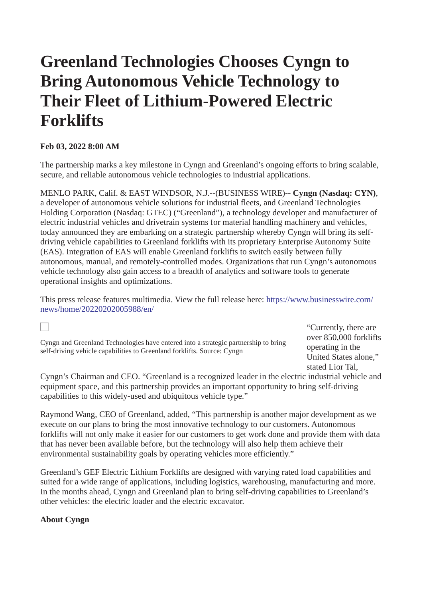# **Greenland Technologies Chooses Cyngn to Bring Autonomous Vehicle Technology to Their Fleet of Lithium-Powered Electric Forklifts**

## **Feb 03, 2022 8:00 AM**

The partnership marks a key milestone in Cyngn and Greenland's ongoing efforts to bring scalable, secure, and reliable autonomous vehicle technologies to industrial applications.

MENLO PARK, Calif. & EAST WINDSOR, N.J.--(BUSINESS WIRE)-- **Cyngn (Nasdaq: CYN)**, a developer of autonomous vehicle solutions for industrial fleets, and Greenland Technologies Holding Corporation (Nasdaq: GTEC) ("Greenland"), a technology developer and manufacturer of electric industrial vehicles and drivetrain systems for material handling machinery and vehicles, today announced they are embarking on a strategic partnership whereby Cyngn will bring its selfdriving vehicle capabilities to Greenland forklifts with its proprietary Enterprise Autonomy Suite (EAS). Integration of EAS will enable Greenland forklifts to switch easily between fully autonomous, manual, and remotely-controlled modes. Organizations that run Cyngn's autonomous vehicle technology also gain access to a breadth of analytics and software tools to generate operational insights and optimizations.

This press release features multimedia. View the full release here: [https://www.businesswire.com/](https://www.businesswire.com/news/home/20220202005988/en/) [news/home/20220202005988/en/](https://www.businesswire.com/news/home/20220202005988/en/)

Cyngn and Greenland Technologies have entered into a strategic partnership to bring self-driving vehicle capabilities to Greenland forklifts. Source: Cyngn

"Currently, there are over 850,000 forklifts operating in the United States alone," stated Lior Tal,

Cyngn's Chairman and CEO. "Greenland is a recognized leader in the electric industrial vehicle and equipment space, and this partnership provides an important opportunity to bring self-driving capabilities to this widely-used and ubiquitous vehicle type."

Raymond Wang, CEO of Greenland, added, "This partnership is another major development as we execute on our plans to bring the most innovative technology to our customers. Autonomous forklifts will not only make it easier for our customers to get work done and provide them with data that has never been available before, but the technology will also help them achieve their environmental sustainability goals by operating vehicles more efficiently."

Greenland's GEF Electric Lithium Forklifts are designed with varying rated load capabilities and suited for a wide range of applications, including logistics, warehousing, manufacturing and more. In the months ahead, Cyngn and Greenland plan to bring self-driving capabilities to Greenland's other vehicles: the electric loader and the electric excavator.

### **About Cyngn**